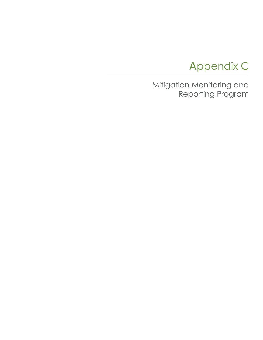## Appendix C

Mitigation Monitoring and Reporting Program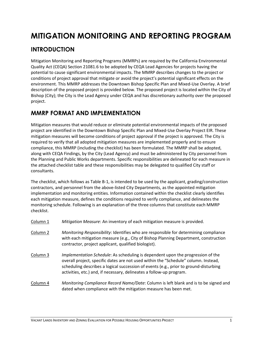## **MITIGATION MONITORING AND REPORTING PROGRAM**

## **INTRODUCTION**

Mitigation Monitoring and Reporting Programs (MMRPs) are required by the California Environmental Quality Act (CEQA) Section 21081.6 to be adopted by CEQA Lead Agencies for projects having the potential to cause significant environmental impacts. The MMRP describes changes to the project or conditions of project approval that mitigate or avoid the project's potential significant effects on the environment. This MMRP addresses the Downtown Bishop Specific Plan and Mixed-Use Overlay. A brief description of the proposed project is provided below. The proposed project is located within the City of Bishop (City); the City is the Lead Agency under CEQA and has discretionary authority over the proposed project.

## **MMRP FORMAT AND IMPLEMENTATION**

Mitigation measures that would reduce or eliminate potential environmental impacts of the proposed project are identified in the Downtown Bishop Specific Plan and Mixed-Use Overlay Project EIR. These mitigation measures will become conditions of project approval if the project is approved. The City is required to verify that all adopted mitigation measures are implemented properly and to ensure compliance, this MMRP (including the checklist) has been formulated. The MMRP shall be adopted, along with CEQA Findings, by the City (Lead Agency) and must be administered by City personnel from the Planning and Public Works departments. Specific responsibilities are delineated for each measure in the attached checklist table and these responsibilities may be delegated to qualified City staff or consultants.

The checklist, which follows as Table B-1, is intended to be used by the applicant, grading/construction contractors, and personnel from the above-listed City Departments, as the appointed mitigation implementation and monitoring entities. Information contained within the checklist clearly identifies each mitigation measure, defines the conditions required to verify compliance, and delineates the monitoring schedule. Following is an explanation of the three columns that constitute each MMRP checklist.

| Column 1             | Mitigation Measure: An inventory of each mitigation measure is provided.        |
|----------------------|---------------------------------------------------------------------------------|
| $C_{\Omega}$ umn $2$ | Monitoring Recognstibility: Identifies who are responsible for determining comp |

- Column 2 *Monitoring Responsibility*: Identifies who are responsible for determining compliance with each mitigation measure (e.g., City of Bishop Planning Department, construction contractor, project applicant, qualified biologist).
- Column 3 *Implementation Schedule*: As scheduling is dependent upon the progression of the overall project, specific dates are not used within the "Schedule" column. Instead, scheduling describes a logical succession of events (e.g., prior to ground-disturbing activities, etc.) and, if necessary, delineates a follow-up program.
- Column 4 *Monitoring Compliance Record Name/Date*: Column is left blank and is to be signed and dated when compliance with the mitigation measure has been met.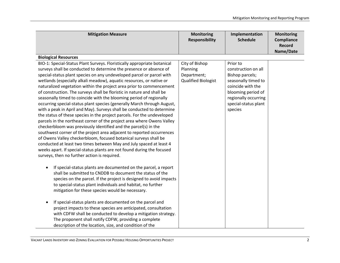| <b>Mitigation Measure</b>                                                                                                                                                                                                                                                                                                                                                                                                                                                                                                                                                                                                                                                                                                                                                                                                                                                                                                                                                                                                                                                                                                                                                                                                                                                                                                                                                                                                                                                                                                                                                    | <b>Monitoring</b><br><b>Responsibility</b>                              | Implementation<br><b>Schedule</b>                                                                                                                                               | <b>Monitoring</b><br>Compliance<br>Record<br>Name/Date |
|------------------------------------------------------------------------------------------------------------------------------------------------------------------------------------------------------------------------------------------------------------------------------------------------------------------------------------------------------------------------------------------------------------------------------------------------------------------------------------------------------------------------------------------------------------------------------------------------------------------------------------------------------------------------------------------------------------------------------------------------------------------------------------------------------------------------------------------------------------------------------------------------------------------------------------------------------------------------------------------------------------------------------------------------------------------------------------------------------------------------------------------------------------------------------------------------------------------------------------------------------------------------------------------------------------------------------------------------------------------------------------------------------------------------------------------------------------------------------------------------------------------------------------------------------------------------------|-------------------------------------------------------------------------|---------------------------------------------------------------------------------------------------------------------------------------------------------------------------------|--------------------------------------------------------|
| <b>Biological Resources</b>                                                                                                                                                                                                                                                                                                                                                                                                                                                                                                                                                                                                                                                                                                                                                                                                                                                                                                                                                                                                                                                                                                                                                                                                                                                                                                                                                                                                                                                                                                                                                  |                                                                         |                                                                                                                                                                                 |                                                        |
| BIO-1: Special-Status Plant Surveys. Floristically appropriate botanical<br>surveys shall be conducted to determine the presence or absence of<br>special-status plant species on any undeveloped parcel or parcel with<br>wetlands (especially alkali meadow), aquatic resources, or native or<br>naturalized vegetation within the project area prior to commencement<br>of construction. The surveys shall be floristic in nature and shall be<br>seasonally timed to coincide with the blooming period of regionally<br>occurring special-status plant species (generally March through August,<br>with a peak in April and May). Surveys shall be conducted to determine<br>the status of these species in the project parcels. For the undeveloped<br>parcels in the northeast corner of the project area where Owens Valley<br>checkerbloom was previously identified and the parcel(s) in the<br>southwest corner of the project area adjacent to reported occurrences<br>of Owens Valley checkerbloom, focused botanical surveys shall be<br>conducted at least two times between May and July spaced at least 4<br>weeks apart. If special-status plants are not found during the focused<br>surveys, then no further action is required.<br>If special-status plants are documented on the parcel, a report<br>shall be submitted to CNDDB to document the status of the<br>species on the parcel. If the project is designed to avoid impacts<br>to special-status plant individuals and habitat, no further<br>mitigation for these species would be necessary. | City of Bishop<br>Planning<br>Department;<br><b>Qualified Biologist</b> | Prior to<br>construction on all<br>Bishop parcels;<br>seasonally timed to<br>coincide with the<br>blooming period of<br>regionally occurring<br>special-status plant<br>species |                                                        |
| If special-status plants are documented on the parcel and<br>project impacts to these species are anticipated, consultation<br>with CDFW shall be conducted to develop a mitigation strategy.<br>The proponent shall notify CDFW, providing a complete<br>description of the location, size, and condition of the                                                                                                                                                                                                                                                                                                                                                                                                                                                                                                                                                                                                                                                                                                                                                                                                                                                                                                                                                                                                                                                                                                                                                                                                                                                            |                                                                         |                                                                                                                                                                                 |                                                        |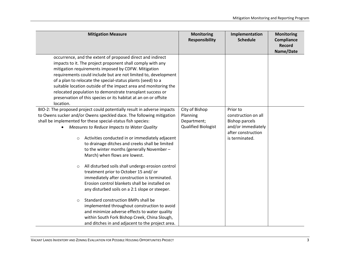| <b>Mitigation Measure</b>                                                                                             | <b>Monitoring</b><br><b>Responsibility</b> | Implementation<br><b>Schedule</b> | <b>Monitoring</b><br><b>Compliance</b><br><b>Record</b><br>Name/Date |
|-----------------------------------------------------------------------------------------------------------------------|--------------------------------------------|-----------------------------------|----------------------------------------------------------------------|
| occurrence, and the extent of proposed direct and indirect                                                            |                                            |                                   |                                                                      |
| impacts to it. The project proponent shall comply with any                                                            |                                            |                                   |                                                                      |
| mitigation requirements imposed by CDFW. Mitigation<br>requirements could include but are not limited to, development |                                            |                                   |                                                                      |
| of a plan to relocate the special-status plants (seed) to a                                                           |                                            |                                   |                                                                      |
| suitable location outside of the impact area and monitoring the                                                       |                                            |                                   |                                                                      |
| relocated population to demonstrate transplant success or                                                             |                                            |                                   |                                                                      |
| preservation of this species or its habitat at an on or offsite                                                       |                                            |                                   |                                                                      |
| location.                                                                                                             |                                            |                                   |                                                                      |
| BIO-2: The proposed project could potentially result in adverse impacts                                               | City of Bishop                             | Prior to                          |                                                                      |
| to Owens sucker and/or Owens speckled dace. The following mitigation                                                  | Planning                                   | construction on all               |                                                                      |
| shall be implemented for these special-status fish species:                                                           | Department;                                | <b>Bishop parcels</b>             |                                                                      |
| Measures to Reduce Impacts to Water Quality                                                                           | <b>Qualified Biologist</b>                 | and/or immediately                |                                                                      |
|                                                                                                                       |                                            | after construction                |                                                                      |
| Activities conducted in or immediately adjacent<br>$\circ$                                                            |                                            | is terminated.                    |                                                                      |
| to drainage ditches and creeks shall be limited                                                                       |                                            |                                   |                                                                      |
| to the winter months (generally November-                                                                             |                                            |                                   |                                                                      |
| March) when flows are lowest.                                                                                         |                                            |                                   |                                                                      |
|                                                                                                                       |                                            |                                   |                                                                      |
| All disturbed soils shall undergo erosion control<br>$\circ$                                                          |                                            |                                   |                                                                      |
| treatment prior to October 15 and/ or                                                                                 |                                            |                                   |                                                                      |
| immediately after construction is terminated.                                                                         |                                            |                                   |                                                                      |
| Erosion control blankets shall be installed on                                                                        |                                            |                                   |                                                                      |
| any disturbed soils on a 2:1 slope or steeper.                                                                        |                                            |                                   |                                                                      |
| Standard construction BMPs shall be<br>$\circ$                                                                        |                                            |                                   |                                                                      |
| implemented throughout construction to avoid                                                                          |                                            |                                   |                                                                      |
| and minimize adverse effects to water quality                                                                         |                                            |                                   |                                                                      |
| within South Fork Bishop Creek, China Slough,                                                                         |                                            |                                   |                                                                      |
| and ditches in and adjacent to the project area.                                                                      |                                            |                                   |                                                                      |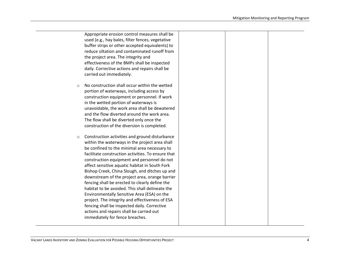| No construction shall occur within the wetted<br>portion of waterways, including access by<br>construction equipment or personnel. If work<br>in the wetted portion of waterways is<br>unavoidable, the work area shall be dewatered<br>and the flow diverted around the work area.<br>The flow shall be diverted only once the<br>construction of the diversion is completed.<br>Construction activities and ground disturbance<br>within the waterways in the project area shall<br>be confined to the minimal area necessary to<br>facilitate construction activities. To ensure that<br>construction equipment and personnel do not<br>affect sensitive aquatic habitat in South Fork<br>Bishop Creek, China Slough, and ditches up and<br>downstream of the project area, orange barrier<br>fencing shall be erected to clearly define the<br>habitat to be avoided. This shall delineate the<br>Environmentally Sensitive Area (ESA) on the<br>project. The integrity and effectiveness of ESA<br>fencing shall be inspected daily. Corrective<br>actions and repairs shall be carried out<br>immediately for fence breaches. |         | Appropriate erosion control measures shall be<br>used (e.g., hay bales, filter fences, vegetative<br>buffer strips or other accepted equivalents) to<br>reduce siltation and contaminated runoff from<br>the project area. The integrity and<br>effectiveness of the BMPs shall be inspected<br>daily. Corrective actions and repairs shall be<br>carried out immediately. |
|-------------------------------------------------------------------------------------------------------------------------------------------------------------------------------------------------------------------------------------------------------------------------------------------------------------------------------------------------------------------------------------------------------------------------------------------------------------------------------------------------------------------------------------------------------------------------------------------------------------------------------------------------------------------------------------------------------------------------------------------------------------------------------------------------------------------------------------------------------------------------------------------------------------------------------------------------------------------------------------------------------------------------------------------------------------------------------------------------------------------------------------|---------|----------------------------------------------------------------------------------------------------------------------------------------------------------------------------------------------------------------------------------------------------------------------------------------------------------------------------------------------------------------------------|
|                                                                                                                                                                                                                                                                                                                                                                                                                                                                                                                                                                                                                                                                                                                                                                                                                                                                                                                                                                                                                                                                                                                                     | $\circ$ |                                                                                                                                                                                                                                                                                                                                                                            |
|                                                                                                                                                                                                                                                                                                                                                                                                                                                                                                                                                                                                                                                                                                                                                                                                                                                                                                                                                                                                                                                                                                                                     | O       |                                                                                                                                                                                                                                                                                                                                                                            |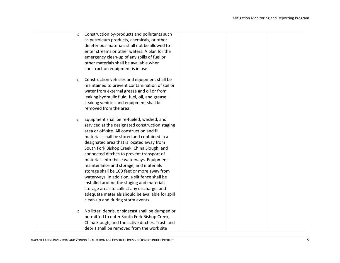| $\circ$ | Construction by-products and pollutants such<br>as petroleum products, chemicals, or other<br>deleterious materials shall not be allowed to<br>enter streams or other waters. A plan for the<br>emergency clean-up of any spills of fuel or<br>other materials shall be available when<br>construction equipment is in use.                                                                                                                                                                                                                                                                                                                                                                                     |
|---------|-----------------------------------------------------------------------------------------------------------------------------------------------------------------------------------------------------------------------------------------------------------------------------------------------------------------------------------------------------------------------------------------------------------------------------------------------------------------------------------------------------------------------------------------------------------------------------------------------------------------------------------------------------------------------------------------------------------------|
| $\circ$ | Construction vehicles and equipment shall be<br>maintained to prevent contamination of soil or<br>water from external grease and oil or from<br>leaking hydraulic fluid, fuel, oil, and grease.<br>Leaking vehicles and equipment shall be<br>removed from the area.                                                                                                                                                                                                                                                                                                                                                                                                                                            |
| $\circ$ | Equipment shall be re-fueled, washed, and<br>serviced at the designated construction staging<br>area or off-site. All construction and fill<br>materials shall be stored and contained in a<br>designated area that is located away from<br>South Fork Bishop Creek, China Slough, and<br>connected ditches to prevent transport of<br>materials into these waterways. Equipment<br>maintenance and storage, and materials<br>storage shall be 100 feet or more away from<br>waterways. In addition, a silt fence shall be<br>installed around the staging and materials<br>storage areas to collect any discharge, and<br>adequate materials should be available for spill<br>clean-up and during storm events |
| $\circ$ | No litter, debris, or sidecast shall be dumped or<br>permitted to enter South Fork Bishop Creek,<br>China Slough, and the active ditches. Trash and<br>debris shall be removed from the work site                                                                                                                                                                                                                                                                                                                                                                                                                                                                                                               |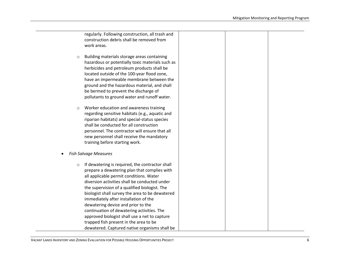regularly. Following construction, all trash and construction debris shall be removed from work areas. o Building materials storage areas containing hazardous or potentially toxic materials such as herbicides and petroleum products shall be located outside of the 100-year flood zone, have an impermeable membrane between the ground and the hazardous material, and shall be bermed to prevent the discharge of pollutants to ground water and runoff water. o Worker education and awareness training regarding sensitive habitats (e.g., aquatic and riparian habitats) and special-status species shall be conducted for all construction personnel. The contractor will ensure that all new personnel shall receive the mandatory training before starting work. • *Fish Salvage Measures*  $\circ$  If dewatering is required, the contractor shall prepare a dewatering plan that complies with all applicable permit conditions. Water diversion activities shall be conducted under the supervision of a qualified biologist. The biologist shall survey the area to be dewatered immediately after installation of the dewatering device and prior to the continuation of dewatering activities. The

trapped fish present in the area to be dewatered. Captured native organisms shall be

approved biologist shall use a net to capture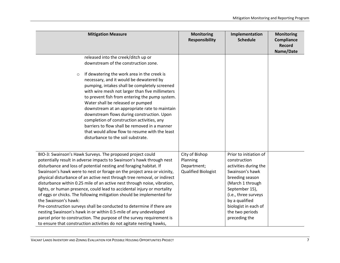| <b>Mitigation Measure</b>                                                                                                                                                                                                                                                                                                                                                                                                                                                                                                                                                                                                                                                                                                                                                                                                                                                                                               | <b>Monitoring</b><br><b>Responsibility</b>                       | Implementation<br><b>Schedule</b>                                                                                                                                                                                                                 | <b>Monitoring</b><br>Compliance<br>Record<br>Name/Date |
|-------------------------------------------------------------------------------------------------------------------------------------------------------------------------------------------------------------------------------------------------------------------------------------------------------------------------------------------------------------------------------------------------------------------------------------------------------------------------------------------------------------------------------------------------------------------------------------------------------------------------------------------------------------------------------------------------------------------------------------------------------------------------------------------------------------------------------------------------------------------------------------------------------------------------|------------------------------------------------------------------|---------------------------------------------------------------------------------------------------------------------------------------------------------------------------------------------------------------------------------------------------|--------------------------------------------------------|
| released into the creek/ditch up or<br>downstream of the construction zone.                                                                                                                                                                                                                                                                                                                                                                                                                                                                                                                                                                                                                                                                                                                                                                                                                                             |                                                                  |                                                                                                                                                                                                                                                   |                                                        |
| If dewatering the work area in the creek is<br>$\circ$<br>necessary, and it would be dewatered by<br>pumping, intakes shall be completely screened<br>with wire mesh not larger than five millimeters<br>to prevent fish from entering the pump system.<br>Water shall be released or pumped<br>downstream at an appropriate rate to maintain<br>downstream flows during construction. Upon<br>completion of construction activities, any<br>barriers to flow shall be removed in a manner<br>that would allow flow to resume with the least<br>disturbance to the soil substrate.                                                                                                                                                                                                                                                                                                                                      |                                                                  |                                                                                                                                                                                                                                                   |                                                        |
| BIO-3: Swainson's Hawk Surveys. The proposed project could<br>potentially result in adverse impacts to Swainson's hawk through nest<br>disturbance and loss of potential nesting and foraging habitat. If<br>Swainson's hawk were to nest or forage on the project area or vicinity,<br>physical disturbance of an active nest through tree removal, or indirect<br>disturbance within 0.25 mile of an active nest through noise, vibration,<br>lights, or human presence, could lead to accidental injury or mortality<br>of eggs or chicks. The following mitigation should be implemented for<br>the Swainson's hawk:<br>Pre-construction surveys shall be conducted to determine if there are<br>nesting Swainson's hawk in or within 0.5-mile of any undeveloped<br>parcel prior to construction. The purpose of the survey requirement is<br>to ensure that construction activities do not agitate nesting hawks, | City of Bishop<br>Planning<br>Department;<br>Qualified Biologist | Prior to initiation of<br>construction<br>activities during the<br>Swainson's hawk<br>breeding season<br>(March 1 through<br>September 15),<br>(i.e., three surveys<br>by a qualified<br>biologist in each of<br>the two periods<br>preceding the |                                                        |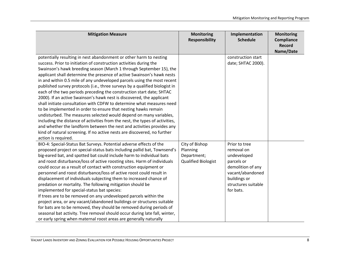| <b>Mitigation Measure</b>                                                                                                                                                                                                                                                                                                                                                                                                                                                                                                                                                                                                                                                                                                                                                                                                                                                                                                                                                                                                                                                         | <b>Monitoring</b><br><b>Responsibility</b>                              | Implementation<br><b>Schedule</b>                                                                                                                     | <b>Monitoring</b><br>Compliance<br><b>Record</b><br>Name/Date |
|-----------------------------------------------------------------------------------------------------------------------------------------------------------------------------------------------------------------------------------------------------------------------------------------------------------------------------------------------------------------------------------------------------------------------------------------------------------------------------------------------------------------------------------------------------------------------------------------------------------------------------------------------------------------------------------------------------------------------------------------------------------------------------------------------------------------------------------------------------------------------------------------------------------------------------------------------------------------------------------------------------------------------------------------------------------------------------------|-------------------------------------------------------------------------|-------------------------------------------------------------------------------------------------------------------------------------------------------|---------------------------------------------------------------|
| potentially resulting in nest abandonment or other harm to nesting<br>success. Prior to initiation of construction activities during the<br>Swainson's hawk breeding season (March 1 through September 15), the<br>applicant shall determine the presence of active Swainson's hawk nests<br>in and within 0.5 mile of any undeveloped parcels using the most recent<br>published survey protocols (i.e., three surveys by a qualified biologist in<br>each of the two periods preceding the construction start date; SHTAC<br>2000). If an active Swainson's hawk nest is discovered, the applicant<br>shall initiate consultation with CDFW to determine what measures need<br>to be implemented in order to ensure that nesting hawks remain<br>undisturbed. The measures selected would depend on many variables,<br>including the distance of activities from the nest, the types of activities,<br>and whether the landform between the nest and activities provides any<br>kind of natural screening. If no active nests are discovered, no further<br>action is required. |                                                                         | construction start<br>date; SHTAC 2000).                                                                                                              |                                                               |
| BIO-4: Special-Status Bat Surveys. Potential adverse effects of the<br>proposed project on special-status bats including pallid bat, Townsend's<br>big-eared bat, and spotted bat could include harm to individual bats<br>and roost disturbance/loss of active roosting sites. Harm of individuals<br>could occur as a result of contact with construction equipment or<br>personnel and roost disturbance/loss of active roost could result in<br>displacement of individuals subjecting them to increased chance of<br>predation or mortality. The following mitigation should be<br>implemented for special-status bat species:<br>If trees are to be removed on any undeveloped parcels within the<br>project area, or any vacant/abandoned buildings or structures suitable<br>for bats are to be removed, they should be removed during periods of<br>seasonal bat activity. Tree removal should occur during late fall, winter,<br>or early spring when maternal roost areas are generally naturally                                                                      | City of Bishop<br>Planning<br>Department;<br><b>Qualified Biologist</b> | Prior to tree<br>removal on<br>undeveloped<br>parcels or<br>demolition of any<br>vacant/abandoned<br>buildings or<br>structures suitable<br>for bats. |                                                               |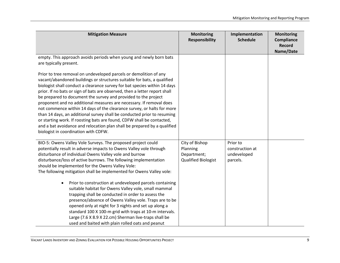| <b>Mitigation Measure</b>                                                                                                                                                                                                                                                                                                                                                                                                                                                                                                                                                                                                                                                                                                                                                                                                                                                     | <b>Monitoring</b><br><b>Responsibility</b>                       | Implementation<br><b>Schedule</b>                      | <b>Monitoring</b><br>Compliance<br><b>Record</b><br>Name/Date |
|-------------------------------------------------------------------------------------------------------------------------------------------------------------------------------------------------------------------------------------------------------------------------------------------------------------------------------------------------------------------------------------------------------------------------------------------------------------------------------------------------------------------------------------------------------------------------------------------------------------------------------------------------------------------------------------------------------------------------------------------------------------------------------------------------------------------------------------------------------------------------------|------------------------------------------------------------------|--------------------------------------------------------|---------------------------------------------------------------|
| empty. This approach avoids periods when young and newly born bats<br>are typically present.                                                                                                                                                                                                                                                                                                                                                                                                                                                                                                                                                                                                                                                                                                                                                                                  |                                                                  |                                                        |                                                               |
| Prior to tree removal on undeveloped parcels or demolition of any<br>vacant/abandoned buildings or structures suitable for bats, a qualified<br>biologist shall conduct a clearance survey for bat species within 14 days<br>prior. If no bats or sign of bats are observed, then a letter report shall<br>be prepared to document the survey and provided to the project<br>proponent and no additional measures are necessary. If removal does<br>not commence within 14 days of the clearance survey, or halts for more<br>than 14 days, an additional survey shall be conducted prior to resuming<br>or starting work. If roosting bats are found, CDFW shall be contacted,<br>and a bat avoidance and relocation plan shall be prepared by a qualified<br>biologist in coordination with CDFW.                                                                           |                                                                  |                                                        |                                                               |
| BIO-5: Owens Valley Vole Surveys. The proposed project could<br>potentially result in adverse impacts to Owens Valley vole through<br>disturbance of individual Owens Valley vole and burrow<br>disturbance/loss of active burrows. The following implementation<br>should be implemented for the Owens Valley Vole:<br>The following mitigation shall be implemented for Owens Valley vole:<br>Prior to construction at undeveloped parcels containing<br>$\bullet$<br>suitable habitat for Owens Valley vole, small mammal<br>trapping shall be conducted in order to assess the<br>presence/absence of Owens Valley vole. Traps are to be<br>opened only at night for 3 nights and set up along a<br>standard 100 X 100-m grid with traps at 10-m intervals.<br>Large (7.6 X 8.9 X 22.cm) Sherman live-traps shall be<br>used and baited with plain rolled oats and peanut | City of Bishop<br>Planning<br>Department;<br>Qualified Biologist | Prior to<br>construction at<br>undeveloped<br>parcels. |                                                               |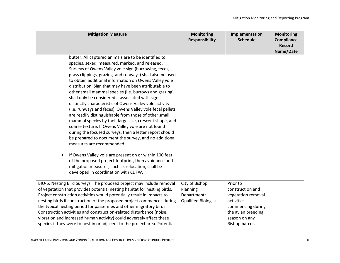| <b>Mitigation Measure</b>                                                                                                                                                                                                                                                                                                                                                                                                                                                                                                                                                                                                                                                                                                                                                                                                                                                                                                                                                                                                                                                                                                      | <b>Monitoring</b><br><b>Responsibility</b>                              | Implementation<br><b>Schedule</b>                                                                                                               | <b>Monitoring</b><br>Compliance<br>Record<br>Name/Date |
|--------------------------------------------------------------------------------------------------------------------------------------------------------------------------------------------------------------------------------------------------------------------------------------------------------------------------------------------------------------------------------------------------------------------------------------------------------------------------------------------------------------------------------------------------------------------------------------------------------------------------------------------------------------------------------------------------------------------------------------------------------------------------------------------------------------------------------------------------------------------------------------------------------------------------------------------------------------------------------------------------------------------------------------------------------------------------------------------------------------------------------|-------------------------------------------------------------------------|-------------------------------------------------------------------------------------------------------------------------------------------------|--------------------------------------------------------|
| butter. All captured animals are to be identified to<br>species, sexed, measured, marked, and released.<br>Surveys of Owens Valley vole sign (burrowing, feces,<br>grass clippings, grazing, and runways) shall also be used<br>to obtain additional information on Owens Valley vole<br>distribution. Sign that may have been attributable to<br>other small mammal species (i.e. burrows and grazing)<br>shall only be considered if associated with sign<br>distinctly characteristic of Owens Valley vole activity<br>(i.e. runways and feces). Owens Valley vole fecal pellets<br>are readily distinguishable from those of other small<br>mammal species by their large size, crescent shape, and<br>coarse texture. If Owens Valley vole are not found<br>during the focused surveys, then a letter report should<br>be prepared to document the survey, and no additional<br>measures are recommended.<br>If Owens Valley vole are present on or within 100 feet<br>of the proposed project footprint, then avoidance and<br>mitigation measures, such as relocation, shall be<br>developed in coordination with CDFW. |                                                                         |                                                                                                                                                 |                                                        |
| BIO-6: Nesting Bird Surveys. The proposed project may include removal<br>of vegetation that provides potential nesting habitat for nesting birds.<br>Project construction activities would potentially result in impacts to<br>nesting birds if construction of the proposed project commences during<br>the typical nesting period for passerines and other migratory birds.<br>Construction activities and construction-related disturbance (noise,<br>vibration and increased human activity) could adversely affect these<br>species if they were to nest in or adjacent to the project area. Potential                                                                                                                                                                                                                                                                                                                                                                                                                                                                                                                    | City of Bishop<br>Planning<br>Department;<br><b>Qualified Biologist</b> | Prior to<br>construction and<br>vegetation removal<br>activities<br>commencing during<br>the avian breeding<br>season on any<br>Bishop parcels. |                                                        |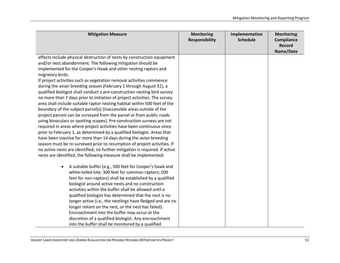| <b>Mitigation Measure</b>                                                                                                                             | <b>Monitoring</b><br><b>Responsibility</b> | Implementation<br><b>Schedule</b> | <b>Monitoring</b><br>Compliance<br><b>Record</b><br>Name/Date |
|-------------------------------------------------------------------------------------------------------------------------------------------------------|--------------------------------------------|-----------------------------------|---------------------------------------------------------------|
| effects include physical destruction of nests by construction equipment                                                                               |                                            |                                   |                                                               |
| and/or nest abandonment. The following mitigation should be                                                                                           |                                            |                                   |                                                               |
| implemented for the Cooper's Hawk and other nesting raptors and                                                                                       |                                            |                                   |                                                               |
| migratory birds:                                                                                                                                      |                                            |                                   |                                                               |
| If project activities such as vegetation removal activities commence                                                                                  |                                            |                                   |                                                               |
| during the avian breeding season (February 1 through August 31), a                                                                                    |                                            |                                   |                                                               |
| qualified biologist shall conduct a pre-construction nesting bird survey<br>no more than 7 days prior to initiation of project activities. The survey |                                            |                                   |                                                               |
| area shall include suitable raptor nesting habitat within 500 feet of the                                                                             |                                            |                                   |                                                               |
| boundary of the subject parcel(s) (inaccessible areas outside of the                                                                                  |                                            |                                   |                                                               |
| project parcels can be surveyed from the parcel or from public roads                                                                                  |                                            |                                   |                                                               |
| using binoculars or spotting scopes). Pre-construction surveys are not                                                                                |                                            |                                   |                                                               |
| required in areas where project activities have been continuous since                                                                                 |                                            |                                   |                                                               |
| prior to February 1, as determined by a qualified biologist. Areas that                                                                               |                                            |                                   |                                                               |
| have been inactive for more than 14 days during the avian breeding                                                                                    |                                            |                                   |                                                               |
| season must be re-surveyed prior to resumption of project activities. If                                                                              |                                            |                                   |                                                               |
| no active nests are identified, no further mitigation is required. If active                                                                          |                                            |                                   |                                                               |
| nests are identified, the following measure shall be implemented:                                                                                     |                                            |                                   |                                                               |
| A suitable buffer (e.g., 500 feet for Cooper's hawk and<br>$\bullet$                                                                                  |                                            |                                   |                                                               |
| white-tailed kite; 300 feet for common raptors; 100                                                                                                   |                                            |                                   |                                                               |
| feet for non-raptors) shall be established by a qualified                                                                                             |                                            |                                   |                                                               |
| biologist around active nests and no construction                                                                                                     |                                            |                                   |                                                               |
| activities within the buffer shall be allowed until a                                                                                                 |                                            |                                   |                                                               |
| qualified biologist has determined that the nest is no                                                                                                |                                            |                                   |                                                               |
| longer active (i.e., the nestlings have fledged and are no                                                                                            |                                            |                                   |                                                               |
| longer reliant on the nest, or the nest has failed).                                                                                                  |                                            |                                   |                                                               |
| Encroachment into the buffer may occur at the                                                                                                         |                                            |                                   |                                                               |
| discretion of a qualified biologist. Any encroachment                                                                                                 |                                            |                                   |                                                               |
| into the buffer shall be monitored by a qualified                                                                                                     |                                            |                                   |                                                               |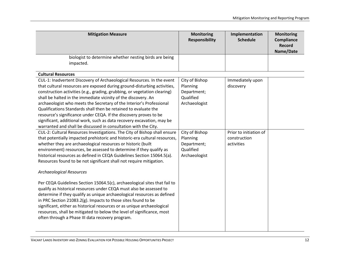| <b>Mitigation Measure</b>                                                                                                                                                                                                                                                                                                                                                                                                                                                                                                                                                                                                                                      | <b>Monitoring</b><br><b>Responsibility</b>                              | Implementation<br><b>Schedule</b>                    | <b>Monitoring</b><br>Compliance<br><b>Record</b><br>Name/Date |
|----------------------------------------------------------------------------------------------------------------------------------------------------------------------------------------------------------------------------------------------------------------------------------------------------------------------------------------------------------------------------------------------------------------------------------------------------------------------------------------------------------------------------------------------------------------------------------------------------------------------------------------------------------------|-------------------------------------------------------------------------|------------------------------------------------------|---------------------------------------------------------------|
| biologist to determine whether nesting birds are being<br>impacted.                                                                                                                                                                                                                                                                                                                                                                                                                                                                                                                                                                                            |                                                                         |                                                      |                                                               |
| <b>Cultural Resources</b>                                                                                                                                                                                                                                                                                                                                                                                                                                                                                                                                                                                                                                      |                                                                         |                                                      |                                                               |
| CUL-1: Inadvertent Discovery of Archaeological Resources. In the event<br>that cultural resources are exposed during ground-disturbing activities,<br>construction activities (e.g., grading, grubbing, or vegetation clearing)<br>shall be halted in the immediate vicinity of the discovery. An<br>archaeologist who meets the Secretary of the Interior's Professional<br>Qualifications Standards shall then be retained to evaluate the<br>resource's significance under CEQA. If the discovery proves to be<br>significant, additional work, such as data recovery excavation, may be<br>warranted and shall be discussed in consultation with the City. | City of Bishop<br>Planning<br>Department;<br>Qualified<br>Archaeologist | Immediately upon<br>discovery                        |                                                               |
| CUL-2: Cultural Resources Investigations. The City of Bishop shall ensure<br>that potentially impacted prehistoric and historic-era cultural resources,<br>whether they are archaeological resources or historic (built<br>environment) resources, be assessed to determine if they qualify as<br>historical resources as defined in CEQA Guidelines Section 15064.5(a).<br>Resources found to be not significant shall not require mitigation.<br><b>Archaeological Resources</b>                                                                                                                                                                             | City of Bishop<br>Planning<br>Department;<br>Qualified<br>Archaeologist | Prior to initiation of<br>construction<br>activities |                                                               |
| Per CEQA Guidelines Section 15064.5(c), archaeological sites that fail to<br>qualify as historical resources under CEQA must also be assessed to<br>determine if they qualify as unique archaeological resources as defined<br>in PRC Section 21083.2(g). Impacts to those sites found to be<br>significant, either as historical resources or as unique archaeological<br>resources, shall be mitigated to below the level of significance, most<br>often through a Phase III data recovery program.                                                                                                                                                          |                                                                         |                                                      |                                                               |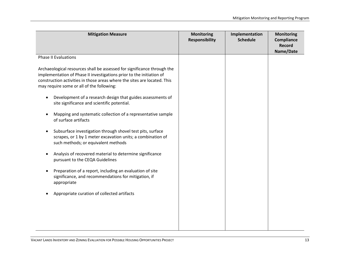| <b>Mitigation Measure</b>                                                                                                                                                                                                                                                | <b>Monitoring</b><br><b>Responsibility</b> | Implementation<br><b>Schedule</b> | <b>Monitoring</b><br>Compliance<br><b>Record</b><br>Name/Date |
|--------------------------------------------------------------------------------------------------------------------------------------------------------------------------------------------------------------------------------------------------------------------------|--------------------------------------------|-----------------------------------|---------------------------------------------------------------|
| <b>Phase II Evaluations</b>                                                                                                                                                                                                                                              |                                            |                                   |                                                               |
| Archaeological resources shall be assessed for significance through the<br>implementation of Phase II investigations prior to the initiation of<br>construction activities in those areas where the sites are located. This<br>may require some or all of the following: |                                            |                                   |                                                               |
| Development of a research design that guides assessments of<br>$\bullet$<br>site significance and scientific potential.                                                                                                                                                  |                                            |                                   |                                                               |
| Mapping and systematic collection of a representative sample<br>of surface artifacts                                                                                                                                                                                     |                                            |                                   |                                                               |
| Subsurface investigation through shovel test pits, surface<br>$\bullet$<br>scrapes, or 1 by 1 meter excavation units; a combination of<br>such methods; or equivalent methods                                                                                            |                                            |                                   |                                                               |
| Analysis of recovered material to determine significance<br>pursuant to the CEQA Guidelines                                                                                                                                                                              |                                            |                                   |                                                               |
| Preparation of a report, including an evaluation of site<br>significance, and recommendations for mitigation, if<br>appropriate                                                                                                                                          |                                            |                                   |                                                               |
| Appropriate curation of collected artifacts                                                                                                                                                                                                                              |                                            |                                   |                                                               |
|                                                                                                                                                                                                                                                                          |                                            |                                   |                                                               |
|                                                                                                                                                                                                                                                                          |                                            |                                   |                                                               |

VACANT LANDS INVENTORY AND ZONING EVALUATION FOR POSSIBLE HOUSING OPPORTUNITIES PROJECT 13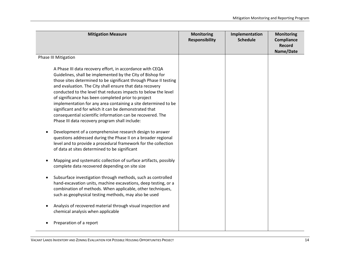| <b>Mitigation Measure</b>                                                                                                                                                                                                                                                                                                                                                                                                                                                                                                                                                                                                                                                                             | <b>Monitoring</b><br><b>Responsibility</b> | Implementation<br><b>Schedule</b> | <b>Monitoring</b><br>Compliance<br><b>Record</b><br>Name/Date |
|-------------------------------------------------------------------------------------------------------------------------------------------------------------------------------------------------------------------------------------------------------------------------------------------------------------------------------------------------------------------------------------------------------------------------------------------------------------------------------------------------------------------------------------------------------------------------------------------------------------------------------------------------------------------------------------------------------|--------------------------------------------|-----------------------------------|---------------------------------------------------------------|
| Phase III Mitigation                                                                                                                                                                                                                                                                                                                                                                                                                                                                                                                                                                                                                                                                                  |                                            |                                   |                                                               |
| A Phase III data recovery effort, in accordance with CEQA<br>Guidelines, shall be implemented by the City of Bishop for<br>those sites determined to be significant through Phase II testing<br>and evaluation. The City shall ensure that data recovery<br>conducted to the level that reduces impacts to below the level<br>of significance has been completed prior to project<br>implementation for any area containing a site determined to be<br>significant and for which it can be demonstrated that<br>consequential scientific information can be recovered. The<br>Phase III data recovery program shall include:<br>Development of a comprehensive research design to answer<br>$\bullet$ |                                            |                                   |                                                               |
| questions addressed during the Phase II on a broader regional<br>level and to provide a procedural framework for the collection<br>of data at sites determined to be significant                                                                                                                                                                                                                                                                                                                                                                                                                                                                                                                      |                                            |                                   |                                                               |
| Mapping and systematic collection of surface artifacts, possibly<br>$\bullet$<br>complete data recovered depending on site size                                                                                                                                                                                                                                                                                                                                                                                                                                                                                                                                                                       |                                            |                                   |                                                               |
| Subsurface investigation through methods, such as controlled<br>$\bullet$<br>hand-excavation units, machine excavations, deep testing, or a<br>combination of methods. When applicable, other techniques,<br>such as geophysical testing methods, may also be used                                                                                                                                                                                                                                                                                                                                                                                                                                    |                                            |                                   |                                                               |
| Analysis of recovered material through visual inspection and<br>$\bullet$<br>chemical analysis when applicable                                                                                                                                                                                                                                                                                                                                                                                                                                                                                                                                                                                        |                                            |                                   |                                                               |
| Preparation of a report                                                                                                                                                                                                                                                                                                                                                                                                                                                                                                                                                                                                                                                                               |                                            |                                   |                                                               |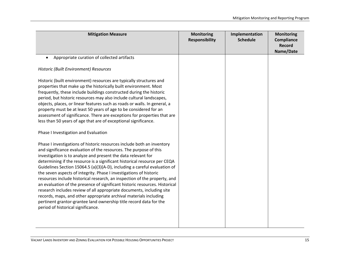| <b>Mitigation Measure</b>                                                                                                                                                                                                                                                                                                                                                                                                                                                                                                                                                                                                                                                                                                                                                                                                                                                                                                                                                                                                                                                                                                                                                                                                                                                                                                                                                                                                                                                                       | <b>Monitoring</b><br><b>Responsibility</b> | Implementation<br><b>Schedule</b> | <b>Monitoring</b><br>Compliance<br><b>Record</b><br>Name/Date |
|-------------------------------------------------------------------------------------------------------------------------------------------------------------------------------------------------------------------------------------------------------------------------------------------------------------------------------------------------------------------------------------------------------------------------------------------------------------------------------------------------------------------------------------------------------------------------------------------------------------------------------------------------------------------------------------------------------------------------------------------------------------------------------------------------------------------------------------------------------------------------------------------------------------------------------------------------------------------------------------------------------------------------------------------------------------------------------------------------------------------------------------------------------------------------------------------------------------------------------------------------------------------------------------------------------------------------------------------------------------------------------------------------------------------------------------------------------------------------------------------------|--------------------------------------------|-----------------------------------|---------------------------------------------------------------|
| Appropriate curation of collected artifacts<br>$\bullet$<br>Historic (Built Environment) Resources<br>Historic (built environment) resources are typically structures and<br>properties that make up the historically built environment. Most<br>frequently, these include buildings constructed during the historic<br>period, but historic resources may also include cultural landscapes,<br>objects, places, or linear features such as roads or walls. In general, a<br>property must be at least 50 years of age to be considered for an<br>assessment of significance. There are exceptions for properties that are<br>less than 50 years of age that are of exceptional significance.<br>Phase I Investigation and Evaluation<br>Phase I investigations of historic resources include both an inventory<br>and significance evaluation of the resources. The purpose of this<br>investigation is to analyze and present the data relevant for<br>determining if the resource is a significant historical resource per CEQA<br>Guidelines Section 15064.5 (a)(3)(A-D), including a careful evaluation of<br>the seven aspects of integrity. Phase I investigations of historic<br>resources include historical research, an inspection of the property, and<br>an evaluation of the presence of significant historic resources. Historical<br>research includes review of all appropriate documents, including site<br>records, maps, and other appropriate archival materials including |                                            |                                   |                                                               |
| pertinent grantor-grantee land ownership title record data for the<br>period of historical significance.                                                                                                                                                                                                                                                                                                                                                                                                                                                                                                                                                                                                                                                                                                                                                                                                                                                                                                                                                                                                                                                                                                                                                                                                                                                                                                                                                                                        |                                            |                                   |                                                               |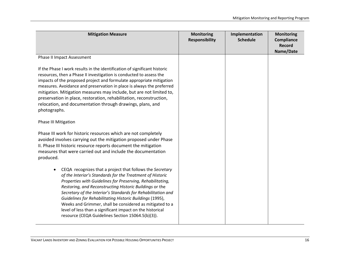| <b>Mitigation Measure</b>                                                                                                                                                                                                                                                                                                                                                                                                                                                                                                                                              | <b>Monitoring</b><br><b>Responsibility</b> | Implementation<br><b>Schedule</b> | <b>Monitoring</b><br>Compliance<br><b>Record</b><br>Name/Date |
|------------------------------------------------------------------------------------------------------------------------------------------------------------------------------------------------------------------------------------------------------------------------------------------------------------------------------------------------------------------------------------------------------------------------------------------------------------------------------------------------------------------------------------------------------------------------|--------------------------------------------|-----------------------------------|---------------------------------------------------------------|
| Phase II Impact Assessment                                                                                                                                                                                                                                                                                                                                                                                                                                                                                                                                             |                                            |                                   |                                                               |
| If the Phase I work results in the identification of significant historic<br>resources, then a Phase II investigation is conducted to assess the<br>impacts of the proposed project and formulate appropriate mitigation<br>measures. Avoidance and preservation in place is always the preferred<br>mitigation. Mitigation measures may include, but are not limited to,<br>preservation in place, restoration, rehabilitation, reconstruction,<br>relocation, and documentation through drawings, plans, and<br>photographs.                                         |                                            |                                   |                                                               |
| <b>Phase III Mitigation</b>                                                                                                                                                                                                                                                                                                                                                                                                                                                                                                                                            |                                            |                                   |                                                               |
| Phase III work for historic resources which are not completely<br>avoided involves carrying out the mitigation proposed under Phase<br>II. Phase III historic resource reports document the mitigation<br>measures that were carried out and include the documentation<br>produced.                                                                                                                                                                                                                                                                                    |                                            |                                   |                                                               |
| CEQA recognizes that a project that follows the Secretary<br>$\bullet$<br>of the Interior's Standards for the Treatment of Historic<br>Properties with Guidelines for Preserving, Rehabilitating,<br>Restoring, and Reconstructing Historic Buildings or the<br>Secretary of the Interior's Standards for Rehabilitation and<br>Guidelines for Rehabilitating Historic Buildings (1995),<br>Weeks and Grimmer, shall be considered as mitigated to a<br>level of less than a significant impact on the historical<br>resource (CEQA Guidelines Section 15064.5(b)(3)). |                                            |                                   |                                                               |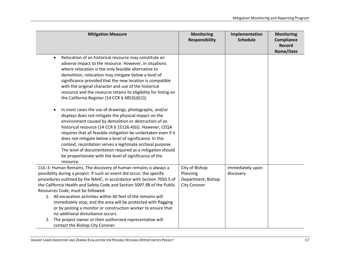| <b>Mitigation Measure</b>                                                                                                                                                                                                                                                                                                                                                                                                                                                                                                                                                                                                                                                                                                                                                                                                                                                                                                                                                                                   | <b>Monitoring</b><br><b>Responsibility</b>                              | Implementation<br><b>Schedule</b> | <b>Monitoring</b><br>Compliance<br><b>Record</b><br>Name/Date |
|-------------------------------------------------------------------------------------------------------------------------------------------------------------------------------------------------------------------------------------------------------------------------------------------------------------------------------------------------------------------------------------------------------------------------------------------------------------------------------------------------------------------------------------------------------------------------------------------------------------------------------------------------------------------------------------------------------------------------------------------------------------------------------------------------------------------------------------------------------------------------------------------------------------------------------------------------------------------------------------------------------------|-------------------------------------------------------------------------|-----------------------------------|---------------------------------------------------------------|
| Relocation of an historical resource may constitute an<br>$\bullet$<br>adverse impact to the resource. However, in situations<br>where relocation is the only feasible alternative to<br>demolition, relocation may mitigate below a level of<br>significance provided that the new location is compatible<br>with the original character and use of the historical<br>resource and the resource retains its eligibility for listing on<br>the California Register (14 CCR $\S$ 4852(d)(1)).<br>In most cases the use of drawings, photographs, and/or<br>$\bullet$<br>displays does not mitigate the physical impact on the<br>environment caused by demolition or destruction of an<br>historical resource (14 CCR § 15126.4(b)). However, CEQA<br>requires that all feasible mitigation be undertaken even if it<br>does not mitigate below a level of significance. In this<br>context, recordation serves a legitimate archival purpose.<br>The level of documentation required as a mitigation should |                                                                         |                                   |                                                               |
| be proportionate with the level of significance of the<br>resource.                                                                                                                                                                                                                                                                                                                                                                                                                                                                                                                                                                                                                                                                                                                                                                                                                                                                                                                                         |                                                                         |                                   |                                                               |
| CUL-3: Human Remains. The discovery of human remains is always a<br>possibility during a project. If such an event did occur, the specific<br>procedures outlined by the NAHC, in accordance with Section 7050.5 of<br>the California Health and Safety Code and Section 5097.98 of the Public<br>Resources Code, must be followed:<br>1. All excavation activities within 60 feet of the remains will<br>immediately stop, and the area will be protected with flagging<br>or by posting a monitor or construction worker to ensure that<br>no additional disturbance occurs.                                                                                                                                                                                                                                                                                                                                                                                                                              | City of Bishop<br>Planning<br>Department; Bishop<br><b>City Coroner</b> | Immediately upon<br>discovery     |                                                               |
| 2. The project owner or their authorized representative will<br>contact the Bishop City Coroner.                                                                                                                                                                                                                                                                                                                                                                                                                                                                                                                                                                                                                                                                                                                                                                                                                                                                                                            |                                                                         |                                   |                                                               |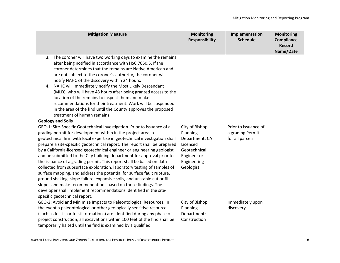| <b>Mitigation Measure</b>                                                                                                                                                                                                                                                                                                                                                                                                                                                                                                                                                                                                                                                                                                                                                                                                                                                                                                             | <b>Monitoring</b><br><b>Responsibility</b>                                                                          | Implementation<br><b>Schedule</b>                           | <b>Monitoring</b><br>Compliance<br><b>Record</b><br>Name/Date |
|---------------------------------------------------------------------------------------------------------------------------------------------------------------------------------------------------------------------------------------------------------------------------------------------------------------------------------------------------------------------------------------------------------------------------------------------------------------------------------------------------------------------------------------------------------------------------------------------------------------------------------------------------------------------------------------------------------------------------------------------------------------------------------------------------------------------------------------------------------------------------------------------------------------------------------------|---------------------------------------------------------------------------------------------------------------------|-------------------------------------------------------------|---------------------------------------------------------------|
| 3. The coroner will have two working days to examine the remains<br>after being notified in accordance with HSC 7050.5. If the<br>coroner determines that the remains are Native American and<br>are not subject to the coroner's authority, the coroner will<br>notify NAHC of the discovery within 24 hours.<br>NAHC will immediately notify the Most Likely Descendant<br>4.<br>(MLD), who will have 48 hours after being granted access to the<br>location of the remains to inspect them and make<br>recommendations for their treatment. Work will be suspended<br>in the area of the find until the County approves the proposed<br>treatment of human remains                                                                                                                                                                                                                                                                 |                                                                                                                     |                                                             |                                                               |
| <b>Geology and Soils</b>                                                                                                                                                                                                                                                                                                                                                                                                                                                                                                                                                                                                                                                                                                                                                                                                                                                                                                              |                                                                                                                     |                                                             |                                                               |
| GEO-1: Site-Specific Geotechnical Investigation. Prior to issuance of a<br>grading permit for development within in the project area, a<br>geotechnical firm with local expertise in geotechnical investigation shall<br>prepare a site-specific geotechnical report. The report shall be prepared<br>by a California-licensed geotechnical engineer or engineering geologist<br>and be submitted to the City building department for approval prior to<br>the issuance of a grading permit. This report shall be based on data<br>collected from subsurface exploration, laboratory testing of samples of<br>surface mapping, and address the potential for surface fault rupture,<br>ground shaking, slope failure, expansive soils, and unstable cut or fill<br>slopes and make recommendations based on those findings. The<br>developer shall implement recommendations identified in the site-<br>specific geotechnical report. | City of Bishop<br>Planning<br>Department; CA<br>Licensed<br>Geotechnical<br>Engineer or<br>Engineering<br>Geologist | Prior to issuance of<br>a grading Permit<br>for all parcels |                                                               |
| GEO-2: Avoid and Minimize Impacts to Paleontological Resources. In<br>the event a paleontological or other geologically sensitive resource<br>(such as fossils or fossil formations) are identified during any phase of<br>project construction, all excavations within 100 feet of the find shall be<br>temporarily halted until the find is examined by a qualified                                                                                                                                                                                                                                                                                                                                                                                                                                                                                                                                                                 | City of Bishop<br>Planning<br>Department;<br>Construction                                                           | Immediately upon<br>discovery                               |                                                               |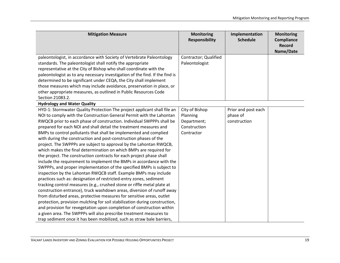| <b>Mitigation Measure</b>                                                                                                                                                                                                                                                                                                                                                                                                                                                                                                                                                                                                                                                                                                                                                                                                                                                                                                                                                                                                                                                                                                                                                                                                                                                                                                                                                                                         | <b>Monitoring</b><br><b>Responsibility</b>                              | Implementation<br><b>Schedule</b>               | <b>Monitoring</b><br>Compliance<br><b>Record</b><br>Name/Date |
|-------------------------------------------------------------------------------------------------------------------------------------------------------------------------------------------------------------------------------------------------------------------------------------------------------------------------------------------------------------------------------------------------------------------------------------------------------------------------------------------------------------------------------------------------------------------------------------------------------------------------------------------------------------------------------------------------------------------------------------------------------------------------------------------------------------------------------------------------------------------------------------------------------------------------------------------------------------------------------------------------------------------------------------------------------------------------------------------------------------------------------------------------------------------------------------------------------------------------------------------------------------------------------------------------------------------------------------------------------------------------------------------------------------------|-------------------------------------------------------------------------|-------------------------------------------------|---------------------------------------------------------------|
| paleontologist, in accordance with Society of Vertebrate Paleontology<br>standards. The paleontologist shall notify the appropriate<br>representative at the City of Bishop who shall coordinate with the<br>paleontologist as to any necessary investigation of the find. If the find is<br>determined to be significant under CEQA, the City shall implement<br>those measures which may include avoidance, preservation in place, or<br>other appropriate measures, as outlined in Public Resources Code                                                                                                                                                                                                                                                                                                                                                                                                                                                                                                                                                                                                                                                                                                                                                                                                                                                                                                       | Contractor; Qualified<br>Paleontologist                                 |                                                 |                                                               |
| Section 21083.2.<br><b>Hydrology and Water Quality</b>                                                                                                                                                                                                                                                                                                                                                                                                                                                                                                                                                                                                                                                                                                                                                                                                                                                                                                                                                                                                                                                                                                                                                                                                                                                                                                                                                            |                                                                         |                                                 |                                                               |
| HYD-1: Stormwater Quality Protection The project applicant shall file an<br>NOI to comply with the Construction General Permit with the Lahontan<br>RWQCB prior to each phase of construction. Individual SWPPPs shall be<br>prepared for each NOI and shall detail the treatment measures and<br>BMPs to control pollutants that shall be implemented and complied<br>with during the construction and post-construction phases of the<br>project. The SWPPPs are subject to approval by the Lahontan RWQCB,<br>which makes the final determination on which BMPs are required for<br>the project. The construction contracts for each project phase shall<br>include the requirement to implement the BMPs in accordance with the<br>SWPPPs, and proper implementation of the specified BMPs is subject to<br>inspection by the Lahontan RWQCB staff. Example BMPs may include<br>practices such as: designation of restricted-entry zones, sediment<br>tracking control measures (e.g., crushed stone or riffle metal plate at<br>construction entrance), truck washdown areas, diversion of runoff away<br>from disturbed areas, protective measures for sensitive areas, outlet<br>protection, provision mulching for soil stabilization during construction,<br>and provision for revegetation upon completion of construction within<br>a given area. The SWPPPs will also prescribe treatment measures to | City of Bishop<br>Planning<br>Department;<br>Construction<br>Contractor | Prior and post each<br>phase of<br>construction |                                                               |